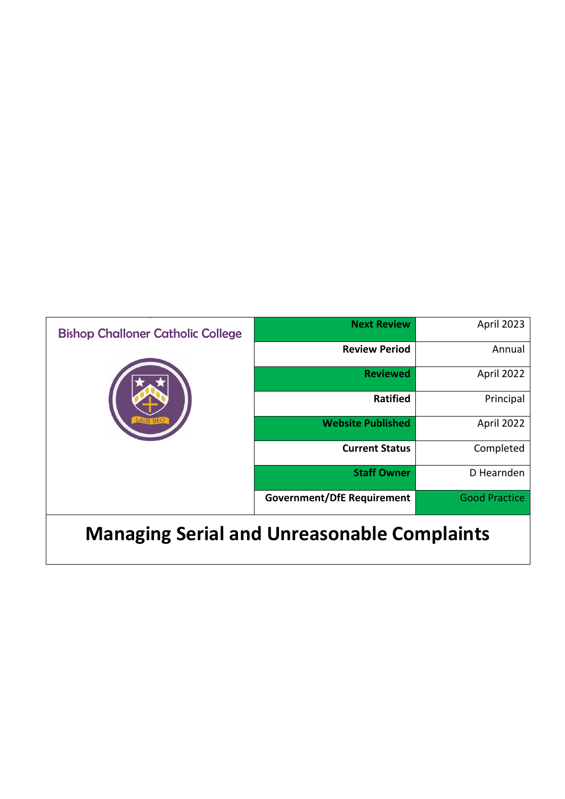| <b>Bishop Challoner Catholic College</b> | <b>Next Review</b>                | April 2023           |
|------------------------------------------|-----------------------------------|----------------------|
|                                          | <b>Review Period</b>              | Annual               |
|                                          | <b>Reviewed</b>                   | April 2022           |
|                                          | <b>Ratified</b>                   | Principal            |
|                                          | <b>Website Published</b>          | April 2022           |
|                                          | <b>Current Status</b>             | Completed            |
|                                          | <b>Staff Owner</b>                | D Hearnden           |
|                                          | <b>Government/DfE Requirement</b> | <b>Good Practice</b> |
|                                          |                                   |                      |

## **Managing Serial and Unreasonable Complaints**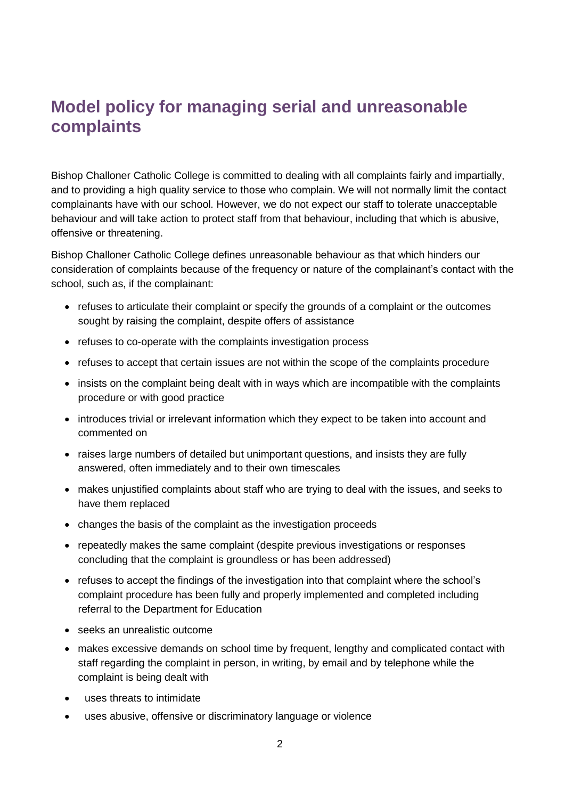## **Model policy for managing serial and unreasonable complaints**

Bishop Challoner Catholic College is committed to dealing with all complaints fairly and impartially, and to providing a high quality service to those who complain. We will not normally limit the contact complainants have with our school. However, we do not expect our staff to tolerate unacceptable behaviour and will take action to protect staff from that behaviour, including that which is abusive, offensive or threatening.

Bishop Challoner Catholic College defines unreasonable behaviour as that which hinders our consideration of complaints because of the frequency or nature of the complainant's contact with the school, such as, if the complainant:

- refuses to articulate their complaint or specify the grounds of a complaint or the outcomes sought by raising the complaint, despite offers of assistance
- refuses to co-operate with the complaints investigation process
- refuses to accept that certain issues are not within the scope of the complaints procedure
- insists on the complaint being dealt with in ways which are incompatible with the complaints procedure or with good practice
- introduces trivial or irrelevant information which they expect to be taken into account and commented on
- raises large numbers of detailed but unimportant questions, and insists they are fully answered, often immediately and to their own timescales
- makes unjustified complaints about staff who are trying to deal with the issues, and seeks to have them replaced
- changes the basis of the complaint as the investigation proceeds
- repeatedly makes the same complaint (despite previous investigations or responses concluding that the complaint is groundless or has been addressed)
- refuses to accept the findings of the investigation into that complaint where the school's complaint procedure has been fully and properly implemented and completed including referral to the Department for Education
- seeks an unrealistic outcome
- makes excessive demands on school time by frequent, lengthy and complicated contact with staff regarding the complaint in person, in writing, by email and by telephone while the complaint is being dealt with
- uses threats to intimidate
- uses abusive, offensive or discriminatory language or violence